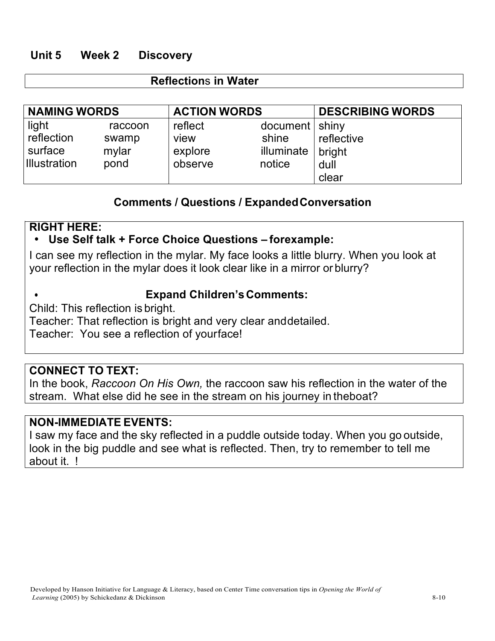## **Unit 5 Week 2 Discovery**

#### **Reflection**s **in Water**

| <b>NAMING WORDS</b> |         | <b>ACTION WORDS</b> |                  | <b>DESCRIBING WORDS</b> |
|---------------------|---------|---------------------|------------------|-------------------------|
| light               | raccoon | reflect             | document   shiny |                         |
| reflection          | swamp   | view                | shine            | reflective              |
| surface             | mylar   | explore             | illuminate       | bright                  |
| <b>Illustration</b> | pond    | observe             | notice           | dull                    |
|                     |         |                     |                  | clear                   |

## **Comments / Questions / ExpandedConversation**

## **RIGHT HERE:**

## • **Use Self talk + Force Choice Questions – forexample:**

I can see my reflection in the mylar. My face looks a little blurry. When you look at your reflection in the mylar does it look clear like in a mirror or blurry?

# • **Expand Children's Comments:**

Child: This reflection is bright.

Teacher: That reflection is bright and very clear anddetailed. Teacher: You see a reflection of yourface!

## **CONNECT TO TEXT:**

In the book, *Raccoon On His Own,* the raccoon saw his reflection in the water of the stream. What else did he see in the stream on his journey in theboat?

#### **NON-IMMEDIATE EVENTS:**

I saw my face and the sky reflected in a puddle outside today. When you go outside, look in the big puddle and see what is reflected. Then, try to remember to tell me about it. !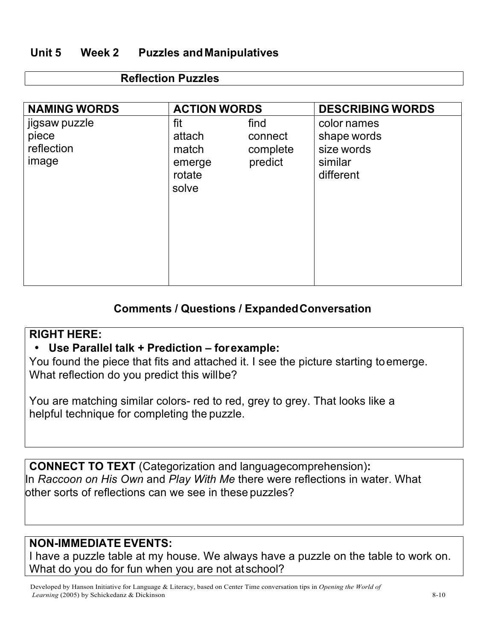# **Unit 5 Week 2 Puzzles andManipulatives**

### **Reflection Puzzles**

| <b>NAMING WORDS</b>                           | <b>ACTION WORDS</b>                                 |                                        | <b>DESCRIBING WORDS</b>                                          |
|-----------------------------------------------|-----------------------------------------------------|----------------------------------------|------------------------------------------------------------------|
| jigsaw puzzle<br>piece<br>reflection<br>image | fit<br>attach<br>match<br>emerge<br>rotate<br>solve | find<br>connect<br>complete<br>predict | color names<br>shape words<br>size words<br>similar<br>different |

## **Comments / Questions / ExpandedConversation**

#### **RIGHT HERE:**

#### • **Use Parallel talk + Prediction – forexample:**

You found the piece that fits and attached it. I see the picture starting toemerge. What reflection do you predict this willbe?

You are matching similar colors- red to red, grey to grey. That looks like a helpful technique for completing the puzzle.

**CONNECT TO TEXT** (Categorization and languagecomprehension)**:** In *Raccoon on His Own* and *Play With Me* there were reflections in water. What other sorts of reflections can we see in these puzzles?

## **NON-IMMEDIATE EVENTS:**

I have a puzzle table at my house. We always have a puzzle on the table to work on. What do you do for fun when you are not at school?

Developed by Hanson Initiative for Language & Literacy, based on Center Time conversation tips in *Opening the World of Learning* (2005) by Schickedanz & Dickinson 8-10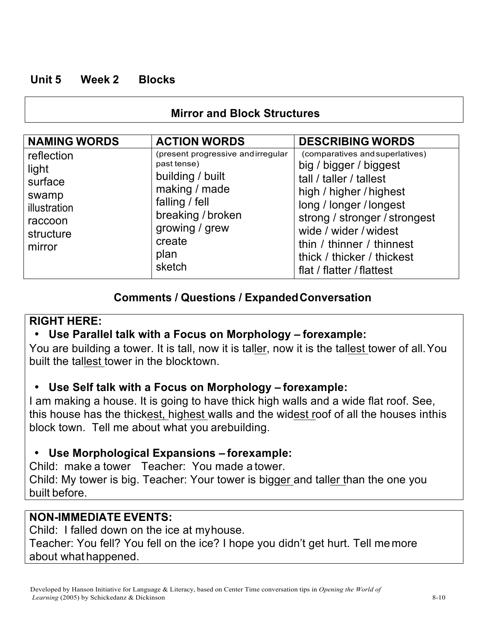# **Unit 5 Week 2 Blocks**

# **Mirror and Block Structures**

| <b>NAMING WORDS</b>                                                                       | <b>ACTION WORDS</b>                                                                                                                                                        | <b>DESCRIBING WORDS</b>                                                                                                                                                                                                                                                                      |
|-------------------------------------------------------------------------------------------|----------------------------------------------------------------------------------------------------------------------------------------------------------------------------|----------------------------------------------------------------------------------------------------------------------------------------------------------------------------------------------------------------------------------------------------------------------------------------------|
| reflection<br>light<br>surface<br>swamp<br>illustration<br>raccoon<br>structure<br>mirror | (present progressive andirregular<br>past tense)<br>building / built<br>making / made<br>falling / fell<br>breaking / broken<br>growing / grew<br>create<br>plan<br>sketch | (comparatives and superlatives)<br>big / bigger / biggest<br>tall / taller / tallest<br>high / higher / highest<br>long / longer / longest<br>strong / stronger / strongest<br>wide / wider / widest<br>thin / thinner / thinnest<br>thick / thicker / thickest<br>flat / flatter / flattest |

# **Comments / Questions / ExpandedConversation**

## **RIGHT HERE:**

# • **Use Parallel talk with a Focus on Morphology – forexample:**

You are building a tower. It is tall, now it is taller, now it is the tallest tower of all.You built the tallest tower in the blocktown.

# • **Use Self talk with a Focus on Morphology – forexample:**

I am making a house. It is going to have thick high walls and a wide flat roof. See, this house has the thickest, highest walls and the widest roof of all the houses inthis block town. Tell me about what you arebuilding.

# • **Use Morphological Expansions – forexample:**

Child: make a tower Teacher: You made a tower. Child: My tower is big. Teacher: Your tower is bigger and taller than the one you built before.

# **NON-IMMEDIATE EVENTS:**

Child: I falled down on the ice at myhouse. Teacher: You fell? You fell on the ice? I hope you didn't get hurt. Tell me more about what happened.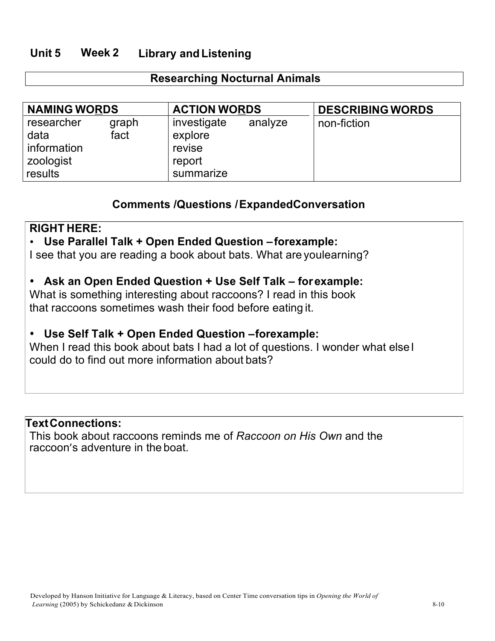## **Unit 5 Week 2 Library and Listening**

### **Researching Nocturnal Animals**

| <b>NAMING WORDS</b>                                       |               | <b>ACTION WORDS</b>                                     |         | <b>DESCRIBING WORDS</b> |
|-----------------------------------------------------------|---------------|---------------------------------------------------------|---------|-------------------------|
| researcher<br>data<br>information<br>zoologist<br>results | graph<br>fact | investigate<br>explore<br>revise<br>report<br>summarize | analyze | non-fiction             |

### **Comments /Questions /ExpandedConversation**

#### **RIGHT HERE:**

## • **Use Parallel Talk + Open Ended Question –forexample:**

I see that you are reading a book about bats. What are youlearning?

## • **Ask an Open Ended Question + Use Self Talk – forexample:**

What is something interesting about raccoons? I read in this book that raccoons sometimes wash their food before eating it.

## • **Use Self Talk + Open Ended Question –forexample:**

When I read this book about bats I had a lot of questions. I wonder what else I could do to find out more information about bats?

#### **TextConnections:**

This book about raccoons reminds me of *Raccoon on His Own* and the raccoon's adventure in the boat.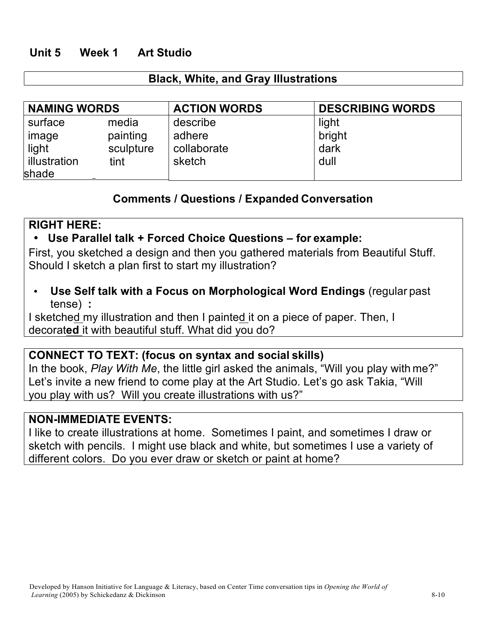## **Unit 5 Week 1 Art Studio**

#### **Black, White, and Gray Illustrations**

| <b>NAMING WORDS</b> |           | <b>ACTION WORDS</b> | <b>DESCRIBING WORDS</b> |
|---------------------|-----------|---------------------|-------------------------|
| surface             | media     | describe            | light                   |
| image               | painting  | adhere              | bright                  |
| light               | sculpture | collaborate         | dark                    |
| illustration        | tint      | sketch              | dull                    |
| shade               |           |                     |                         |

### **Comments / Questions / Expanded Conversation**

### **RIGHT HERE:**

### • **Use Parallel talk + Forced Choice Questions – for example:**

First, you sketched a design and then you gathered materials from Beautiful Stuff. Should I sketch a plan first to start my illustration?

• **Use Self talk with a Focus on Morphological Word Endings** (regular past tense) **:**

I sketched my illustration and then I painted it on a piece of paper. Then, I decorat**ed** it with beautiful stuff. What did you do?

#### **CONNECT TO TEXT: (focus on syntax and social skills)**

In the book, *Play With Me*, the little girl asked the animals, "Will you play with me?" Let's invite a new friend to come play at the Art Studio. Let's go ask Takia, "Will you play with us? Will you create illustrations with us?"

## **NON-IMMEDIATE EVENTS:**

I like to create illustrations at home. Sometimes I paint, and sometimes I draw or sketch with pencils. I might use black and white, but sometimes I use a variety of different colors. Do you ever draw or sketch or paint at home?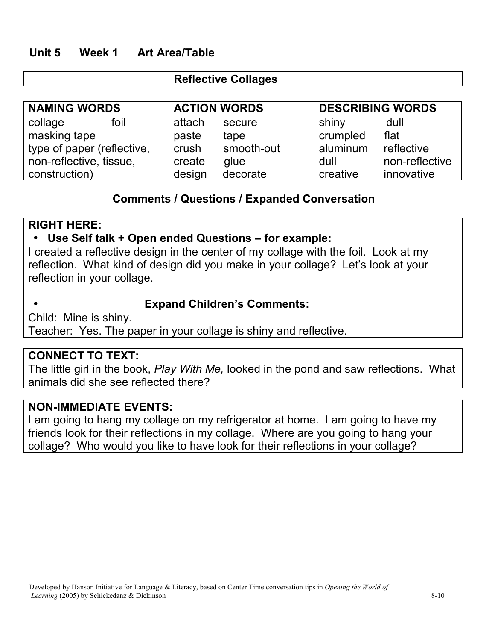## **Unit 5 Week 1 Art Area/Table**

## **Reflective Collages**

| <b>NAMING WORDS</b>        | <b>ACTION WORDS</b> |            | <b>DESCRIBING WORDS</b> |                |
|----------------------------|---------------------|------------|-------------------------|----------------|
| foil<br>collage            | attach              | secure     | shiny                   | dull           |
| masking tape               | paste               | tape       | crumpled                | flat           |
| type of paper (reflective, | crush               | smooth-out | aluminum                | reflective     |
| non-reflective, tissue,    | create              | glue       | dull                    | non-reflective |
| construction)              | design              | decorate   | creative                | innovative     |

## **Comments / Questions / Expanded Conversation**

#### **RIGHT HERE:**

#### • **Use Self talk + Open ended Questions – for example:**

I created a reflective design in the center of my collage with the foil. Look at my reflection. What kind of design did you make in your collage? Let's look at your reflection in your collage.

## • **Expand Children's Comments:**

Child: Mine is shiny. Teacher: Yes. The paper in your collage is shiny and reflective.

#### **CONNECT TO TEXT:**

The little girl in the book, *Play With Me,* looked in the pond and saw reflections. What animals did she see reflected there?

#### **NON-IMMEDIATE EVENTS:**

I am going to hang my collage on my refrigerator at home. I am going to have my friends look for their reflections in my collage. Where are you going to hang your collage? Who would you like to have look for their reflections in your collage?